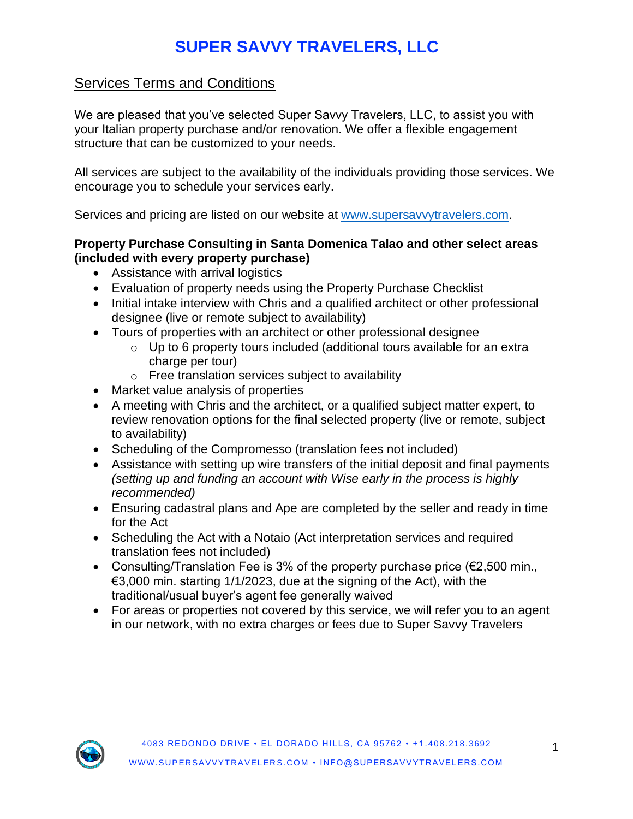# **SUPER SAVVY TRAVELERS, LLC**

### Services Terms and Conditions

We are pleased that you've selected Super Savvy Travelers, LLC, to assist you with your Italian property purchase and/or renovation. We offer a flexible engagement structure that can be customized to your needs.

All services are subject to the availability of the individuals providing those services. We encourage you to schedule your services early.

Services and pricing are listed on our website at [www.supersavvytravelers.com.](https://www.supersavvytravelers.com/services-booking/)

#### **Property Purchase Consulting in Santa Domenica Talao and other select areas (included with every property purchase)**

- Assistance with arrival logistics
- Evaluation of property needs using the Property Purchase Checklist
- Initial intake interview with Chris and a qualified architect or other professional designee (live or remote subject to availability)
- Tours of properties with an architect or other professional designee
	- o Up to 6 property tours included (additional tours available for an extra charge per tour)
	- o Free translation services subject to availability
- Market value analysis of properties
- A meeting with Chris and the architect, or a qualified subject matter expert, to review renovation options for the final selected property (live or remote, subject to availability)
- Scheduling of the Compromesso (translation fees not included)
- Assistance with setting up wire transfers of the initial deposit and final payments *(setting up and funding an account with Wise early in the process is highly recommended)*
- Ensuring cadastral plans and Ape are completed by the seller and ready in time for the Act
- Scheduling the Act with a Notaio (Act interpretation services and required translation fees not included)
- Consulting/Translation Fee is 3% of the property purchase price (€2,500 min., €3,000 min. starting 1/1/2023, due at the signing of the Act), with the traditional/usual buyer's agent fee generally waived
- For areas or properties not covered by this service, we will refer you to an agent in our network, with no extra charges or fees due to Super Savvy Travelers

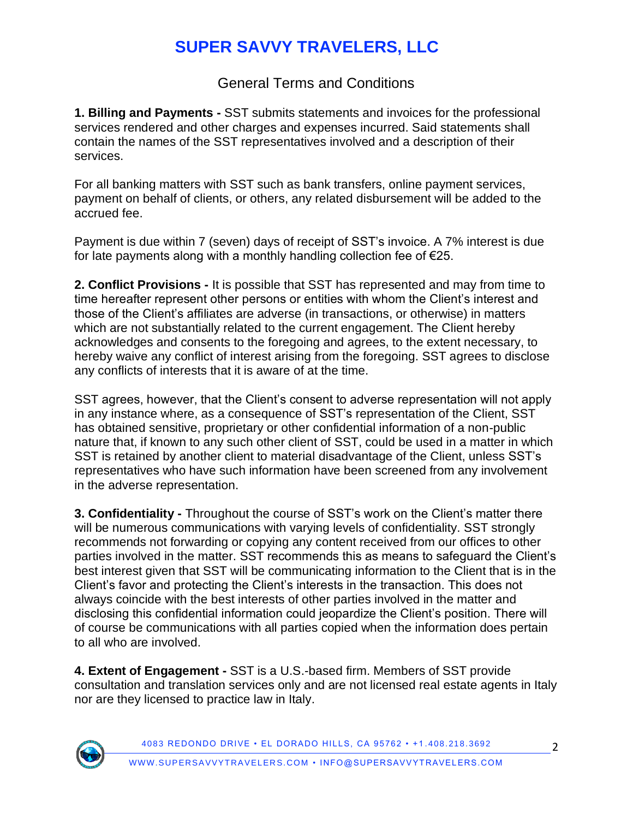# **SUPER SAVVY TRAVELERS, LLC**

General Terms and Conditions

**1. Billing and Payments -** SST submits statements and invoices for the professional services rendered and other charges and expenses incurred. Said statements shall contain the names of the SST representatives involved and a description of their services.

For all banking matters with SST such as bank transfers, online payment services, payment on behalf of clients, or others, any related disbursement will be added to the accrued fee.

Payment is due within 7 (seven) days of receipt of SST's invoice. A 7% interest is due for late payments along with a monthly handling collection fee of €25.

**2. Conflict Provisions -** It is possible that SST has represented and may from time to time hereafter represent other persons or entities with whom the Client's interest and those of the Client's affiliates are adverse (in transactions, or otherwise) in matters which are not substantially related to the current engagement. The Client hereby acknowledges and consents to the foregoing and agrees, to the extent necessary, to hereby waive any conflict of interest arising from the foregoing. SST agrees to disclose any conflicts of interests that it is aware of at the time.

SST agrees, however, that the Client's consent to adverse representation will not apply in any instance where, as a consequence of SST's representation of the Client, SST has obtained sensitive, proprietary or other confidential information of a non-public nature that, if known to any such other client of SST, could be used in a matter in which SST is retained by another client to material disadvantage of the Client, unless SST's representatives who have such information have been screened from any involvement in the adverse representation.

**3. Confidentiality -** Throughout the course of SST's work on the Client's matter there will be numerous communications with varying levels of confidentiality. SST strongly recommends not forwarding or copying any content received from our offices to other parties involved in the matter. SST recommends this as means to safeguard the Client's best interest given that SST will be communicating information to the Client that is in the Client's favor and protecting the Client's interests in the transaction. This does not always coincide with the best interests of other parties involved in the matter and disclosing this confidential information could jeopardize the Client's position. There will of course be communications with all parties copied when the information does pertain to all who are involved.

**4. Extent of Engagement -** SST is a U.S.-based firm. Members of SST provide consultation and translation services only and are not licensed real estate agents in Italy nor are they licensed to practice law in Italy.



4083 REDONDO DRIVE • EL DORADO HILLS, CA 95762 • +1 .408.218.3692